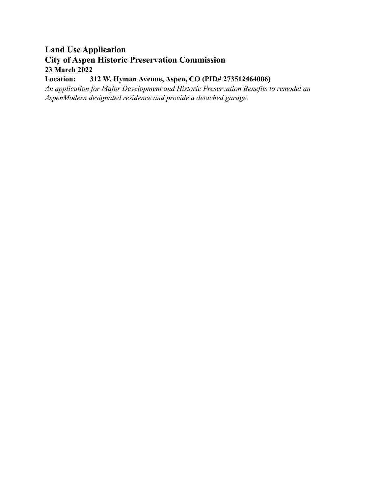# **Land Use Application City of Aspen Historic Preservation Commission 23 March 2022**

# **Location: 312 W. Hyman Avenue, Aspen, CO (PID# 273512464006)**

*An application for Major Development and Historic Preservation Benefits to remodel an AspenModern designated residence and provide a detached garage.*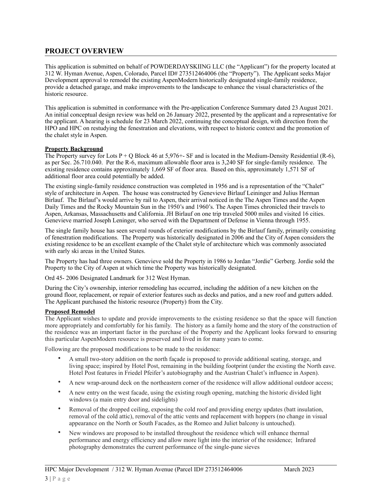# **PROJECT OVERVIEW**

This application is submitted on behalf of POWDERDAYSKIING LLC (the "Applicant") for the property located at 312 W. Hyman Avenue, Aspen, Colorado, Parcel ID# 273512464006 (the "Property"). The Applicant seeks Major Development approval to remodel the existing AspenModern historically designated single-family residence, provide a detached garage, and make improvements to the landscape to enhance the visual characteristics of the historic resource.

This application is submitted in conformance with the Pre-application Conference Summary dated 23 August 2021. An initial conceptual design review was held on 26 January 2022, presented by the applicant and a representative for the applicant. A hearing is schedule for 23 March 2022, continuing the conceptual design, with direction from the HPO and HPC on restudying the fenestration and elevations, with respect to historic context and the promotion of the chalet style in Aspen.

#### **Property Background**

The Property survey for Lots  $P + Q$  Block 46 at 5,976+- SF and is located in the Medium-Density Residential (R-6), as per Sec. 26.710.040. Per the R-6, maximum allowable floor area is 3,240 SF for single-family residence. The existing residence contains approximately 1,669 SF of floor area. Based on this, approximately 1,571 SF of additional floor area could potentially be added.

The existing single-family residence construction was completed in 1956 and is a representation of the "Chalet" style of architecture in Aspen. The house was constructed by Genevieve Birlauf Leininger and Julius Herman Birlauf. The Birlauf's would arrive by rail to Aspen, their arrival noticed in the The Aspen Times and the Aspen Daily Times and the Rocky Mountain Sun in the 1950's and 1960's. The Aspen Times chronicled their travels to Aspen, Arkansas, Massachusetts and California. JH Birlauf on one trip traveled 5000 miles and visited 16 cities. Genevieve married Joseph Leninger, who served with the Department of Defense in Vienna through 1955.

The single family house has seen several rounds of exterior modifications by the Birlauf family, primarily consisting of fenestration modifications. The Property was historically designated in 2006 and the City of Aspen considers the existing residence to be an excellent example of the Chalet style of architecture which was commonly associated with early ski areas in the United States.

The Property has had three owners. Genevieve sold the Property in 1986 to Jordan "Jordie" Gerberg. Jordie sold the Property to the City of Aspen at which time the Property was historically designated.

Ord 45- 2006 Designated Landmark for 312 West Hyman.

During the City's ownership, interior remodeling has occurred, including the addition of a new kitchen on the ground floor, replacement, or repair of exterior features such as decks and patios, and a new roof and gutters added. The Applicant purchased the historic resource (Property) from the City.

## **Proposed Remodel**

The Applicant wishes to update and provide improvements to the existing residence so that the space will function more appropriately and comfortably for his family. The history as a family home and the story of the construction of the residence was an important factor in the purchase of the Property and the Applicant looks forward to ensuring this particular AspenModern resource is preserved and lived in for many years to come.

Following are the proposed modifications to be made to the residence:

- A small two-story addition on the north façade is proposed to provide additional seating, storage, and living space; inspired by Hotel Post, remaining in the building footprint (under the existing the North eave. Hotel Post features in Friedel Pfeifer's autobiography and the Austrian Chalet's influence in Aspen).
- A new wrap-around deck on the northeastern corner of the residence will allow additional outdoor access;
- A new entry on the west facade, using the existing rough opening, matching the historic divided light windows (a main entry door and sidelights)
- Removal of the dropped ceiling, exposing the cold roof and providing energy updates (batt insulation, removal of the cold attic), removal of the attic vents and replacement with hoppers (no change in visual appearance on the North or South Facades, as the Romeo and Juliet balcony is untouched).
- New windows are proposed to be installed throughout the residence which will enhance thermal performance and energy efficiency and allow more light into the interior of the residence; Infrared photography demonstrates the current performance of the single-pane sieves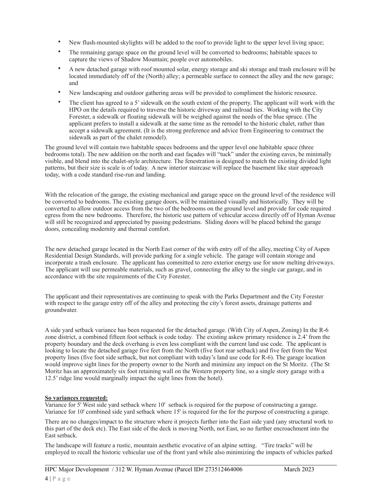- New flush-mounted skylights will be added to the roof to provide light to the upper level living space;
- The remaining garage space on the ground level will be converted to bedrooms; habitable spaces to capture the views of Shadow Mountain; people over automobiles.
- A new detached garage with roof mounted solar, energy storage and ski storage and trash enclosure will be located immediately off of the (North) alley; a permeable surface to connect the alley and the new garage; and
- New landscaping and outdoor gathering areas will be provided to compliment the historic resource.
- The client has agreed to a 5' sidewalk on the south extent of the property. The applicant will work with the HPO on the details required to traverse the historic driveway and railroad ties. Working with the City Forester, a sidewalk or floating sidewalk will be weighed against the needs of the blue spruce. (The applicant prefers to install a sidewalk at the same time as the remodel to the historic chalet, rather than accept a sidewalk agreement. (It is the strong preference and advice from Engineering to construct the sidewalk as part of the chalet remodel).

The ground level will contain two habitable spaces bedrooms and the upper level one habitable space (three bedrooms total). The new addition on the north and east façades will "tuck" under the existing eaves, be minimally visible, and blend into the chalet-style architecture. The fenestration is designed to match the existing divided light patterns, but their size is scale is of today. A new interior staircase will replace the basement like stair approach today, with a code standard rise-run and landing.

With the relocation of the garage, the existing mechanical and garage space on the ground level of the residence will be converted to bedrooms. The existing garage doors, will be maintained visually and historically. They will be converted to allow outdoor access from the two of the bedrooms on the ground level and provide for code required egress from the new bedrooms. Therefore, the historic use pattern of vehicular access directly off of Hyman Avenue will still be recognized and appreciated by passing pedestrians. Sliding doors will be placed behind the garage doors, concealing modernity and thermal comfort.

The new detached garage located in the North East corner of the with entry off of the alley, meeting City of Aspen Residential Design Standards, will provide parking for a single vehicle. The garage will contain storage and incorporate a trash enclosure. The applicant has committed to zero exterior energy use for snow melting driveways. The applicant will use permeable materials, such as gravel, connecting the alley to the single car garage, and in accordance with the site requirements of the City Forester.

The applicant and their representatives are continuing to speak with the Parks Department and the City Forester with respect to the garage entry off of the alley and protecting the city's forest assets, drainage patterns and groundwater.

A side yard setback variance has been requested for the detached garage. (With City of Aspen, Zoning) In the R-6 zone district, a combined fifteen foot setback is code today. The existing askew primary residence is 2.4' from the property boundary and the deck overhang is even less compliant with the current land use code. The applicant is looking to locate the detached garage five feet from the North (five foot rear setback) and five feet from the West property lines (five foot side setback, but not compliant with today's land use code for R-6). The garage location would improve sight lines for the property owner to the North and minimize any impact on the St Moritz. (The St Moritz has an approximately six foot retaining wall on the Western property line, so a single story garage with a 12.5' ridge line would marginally impact the sight lines from the hotel).

## **So variances requested:**

Variance for 5' West side yard setback where 10' setback is required for the purpose of constructing a garage. Variance for 10' combined side yard setback where 15' is required for the for the purpose of constructing a garage.

There are no changes/impact to the structure where it projects further into the East side yard (any structural work to this part of the deck etc). The East side of the deck is moving North, not East, so no further encroachment into the East setback.

The landscape will feature a rustic, mountain aesthetic evocative of an alpine setting. "Tire tracks" will be employed to recall the historic vehicular use of the front yard while also minimizing the impacts of vehicles parked